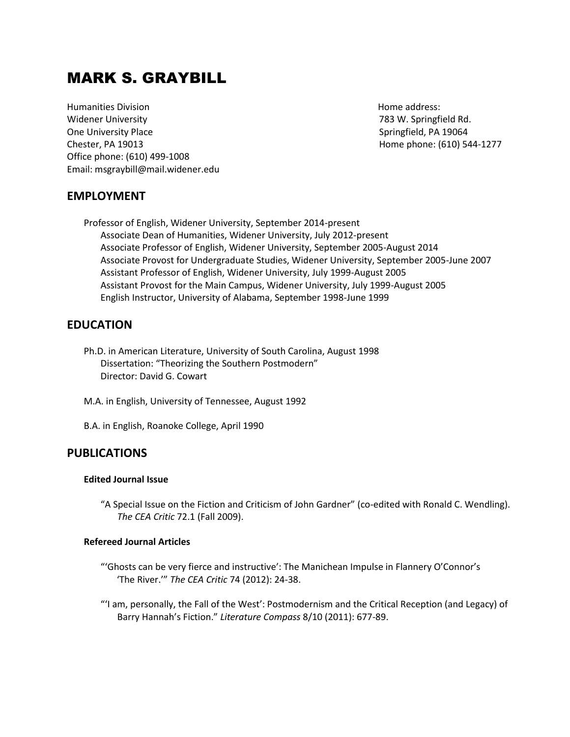# MARK S. GRAYBILL

**Humanities Division Home and Allen Account Account Account Account Account Account Account Account Account Account Account Account Account Account Account Account Account Account Account Account Account Account Account Ac** Widener University 783 W. Springfield Rd. One University Place **Springfield, PA 19064** Springfield, PA 19064 Chester, PA 19013 Home phone: (610) 544-1277 Office phone: (610) 499-1008 Email: msgraybill@mail.widener.edu

# **EMPLOYMENT**

Professor of English, Widener University, September 2014-present Associate Dean of Humanities, Widener University, July 2012-present Associate Professor of English, Widener University, September 2005-August 2014 Associate Provost for Undergraduate Studies, Widener University, September 2005-June 2007 Assistant Professor of English, Widener University, July 1999-August 2005 Assistant Provost for the Main Campus, Widener University, July 1999-August 2005 English Instructor, University of Alabama, September 1998-June 1999

# **EDUCATION**

Ph.D. in American Literature, University of South Carolina, August 1998 Dissertation: "Theorizing the Southern Postmodern" Director: David G. Cowart

M.A. in English, University of Tennessee, August 1992

B.A. in English, Roanoke College, April 1990

## **PUBLICATIONS**

#### **Edited Journal Issue**

"A Special Issue on the Fiction and Criticism of John Gardner" (co-edited with Ronald C. Wendling). *The CEA Critic* 72.1 (Fall 2009).

#### **Refereed Journal Articles**

- "'Ghosts can be very fierce and instructive': The Manichean Impulse in Flannery O'Connor's 'The River.'" *The CEA Critic* 74 (2012): 24-38.
- "'I am, personally, the Fall of the West': Postmodernism and the Critical Reception (and Legacy) of Barry Hannah's Fiction." *Literature Compass* 8/10 (2011): 677-89.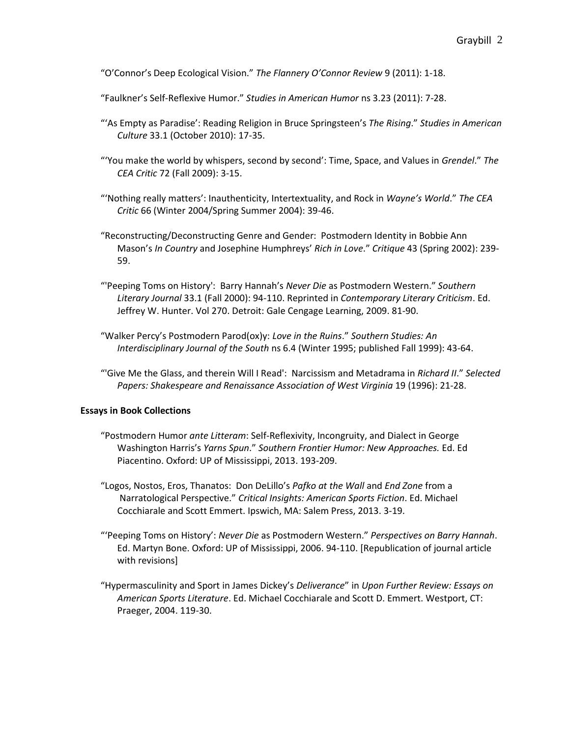"O'Connor's Deep Ecological Vision." *The Flannery O'Connor Review* 9 (2011): 1-18.

"Faulkner's Self-Reflexive Humor." *Studies in American Humor* ns 3.23 (2011): 7-28.

- "'As Empty as Paradise': Reading Religion in Bruce Springsteen's *The Rising*." *Studies in American Culture* 33.1 (October 2010): 17-35.
- "'You make the world by whispers, second by second': Time, Space, and Values in *Grendel*." *The CEA Critic* 72 (Fall 2009): 3-15.
- "'Nothing really matters': Inauthenticity, Intertextuality, and Rock in *Wayne's World*." *The CEA Critic* 66 (Winter 2004/Spring Summer 2004): 39-46.
- "Reconstructing/Deconstructing Genre and Gender: Postmodern Identity in Bobbie Ann Mason's *In Country* and Josephine Humphreys' *Rich in Love*." *Critique* 43 (Spring 2002): 239- 59.
- "'Peeping Toms on History': Barry Hannah's *Never Die* as Postmodern Western." *Southern Literary Journal* 33.1 (Fall 2000): 94-110. Reprinted in *Contemporary Literary Criticism*. Ed. Jeffrey W. Hunter. Vol 270. Detroit: Gale Cengage Learning, 2009. 81-90.
- "Walker Percy's Postmodern Parod(ox)y: *Love in the Ruins*." *Southern Studies: An Interdisciplinary Journal of the South* ns 6.4 (Winter 1995; published Fall 1999): 43-64.
- "'Give Me the Glass, and therein Will I Read': Narcissism and Metadrama in *Richard II*." *Selected Papers: Shakespeare and Renaissance Association of West Virginia* 19 (1996): 21-28.

#### **Essays in Book Collections**

- "Postmodern Humor *ante Litteram*: Self-Reflexivity, Incongruity, and Dialect in George Washington Harris's *Yarns Spun*." *Southern Frontier Humor: New Approaches.* Ed. Ed Piacentino. Oxford: UP of Mississippi, 2013. 193-209.
- "Logos, Nostos, Eros, Thanatos: Don DeLillo's *Pafko at the Wall* and *End Zone* from a Narratological Perspective." *Critical Insights: American Sports Fiction*. Ed. Michael Cocchiarale and Scott Emmert. Ipswich, MA: Salem Press, 2013. 3-19.
- "'Peeping Toms on History': *Never Die* as Postmodern Western." *Perspectives on Barry Hannah*. Ed. Martyn Bone. Oxford: UP of Mississippi, 2006. 94-110. [Republication of journal article with revisions]
- "Hypermasculinity and Sport in James Dickey's *Deliverance*" in *Upon Further Review: Essays on American Sports Literature*. Ed. Michael Cocchiarale and Scott D. Emmert. Westport, CT: Praeger, 2004. 119-30.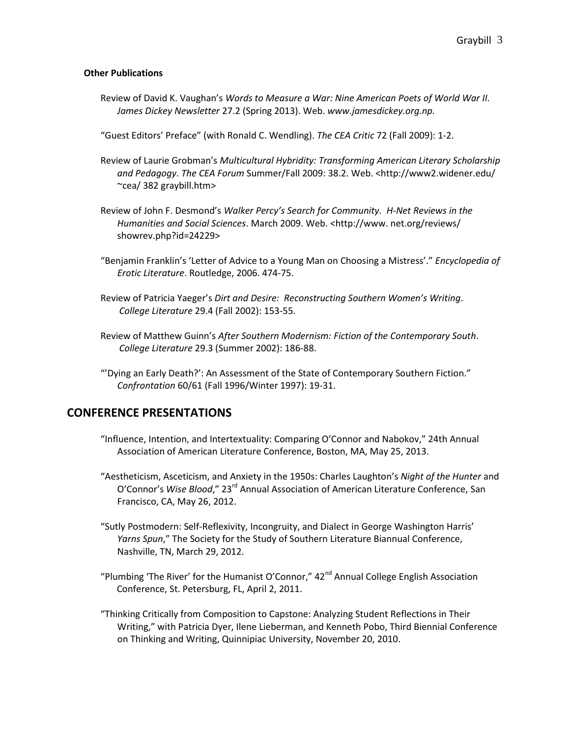#### **Other Publications**

- Review of David K. Vaughan's *Words to Measure a War: Nine American Poets of World War II. James Dickey Newsletter* 27.2 (Spring 2013). Web. *www.jamesdickey.org.np.*
- "Guest Editors' Preface" (with Ronald C. Wendling). *The CEA Critic* 72 (Fall 2009): 1-2.
- Review of Laurie Grobman's *Multicultural Hybridity: Transforming American Literary Scholarship and Pedagogy*. *The CEA Forum* Summer/Fall 2009: 38.2. Web. <http://www2.widener.edu/ ~cea/ 382 graybill.htm>
- Review of John F. Desmond's *Walker Percy's Search for Community. H-Net Reviews in the Humanities and Social Sciences*. March 2009. Web. <http://www. net.org/reviews/ showrev.php?id=24229>
- "Benjamin Franklin's 'Letter of Advice to a Young Man on Choosing a Mistress'." *Encyclopedia of Erotic Literature*. Routledge, 2006. 474-75.
- Review of Patricia Yaeger's *Dirt and Desire: Reconstructing Southern Women's Writing*. *College Literature* 29.4 (Fall 2002): 153-55.
- Review of Matthew Guinn's *After Southern Modernism: Fiction of the Contemporary South*. *College Literature* 29.3 (Summer 2002): 186-88.
- "'Dying an Early Death?': An Assessment of the State of Contemporary Southern Fiction." *Confrontation* 60/61 (Fall 1996/Winter 1997): 19-31.

## **CONFERENCE PRESENTATIONS**

- "Influence, Intention, and Intertextuality: Comparing O'Connor and Nabokov," 24th Annual Association of American Literature Conference, Boston, MA, May 25, 2013.
- "Aestheticism, Asceticism, and Anxiety in the 1950s: Charles Laughton's *Night of the Hunter* and O'Connor's Wise Blood," 23<sup>rd</sup> Annual Association of American Literature Conference, San Francisco, CA, May 26, 2012.
- "Sutly Postmodern: Self-Reflexivity, Incongruity, and Dialect in George Washington Harris' *Yarns Spun*," The Society for the Study of Southern Literature Biannual Conference, Nashville, TN, March 29, 2012.
- "Plumbing 'The River' for the Humanist O'Connor,"  $42<sup>nd</sup>$  Annual College English Association Conference, St. Petersburg, FL, April 2, 2011.
- "Thinking Critically from Composition to Capstone: Analyzing Student Reflections in Their Writing," with Patricia Dyer, Ilene Lieberman, and Kenneth Pobo, Third Biennial Conference on Thinking and Writing, Quinnipiac University, November 20, 2010.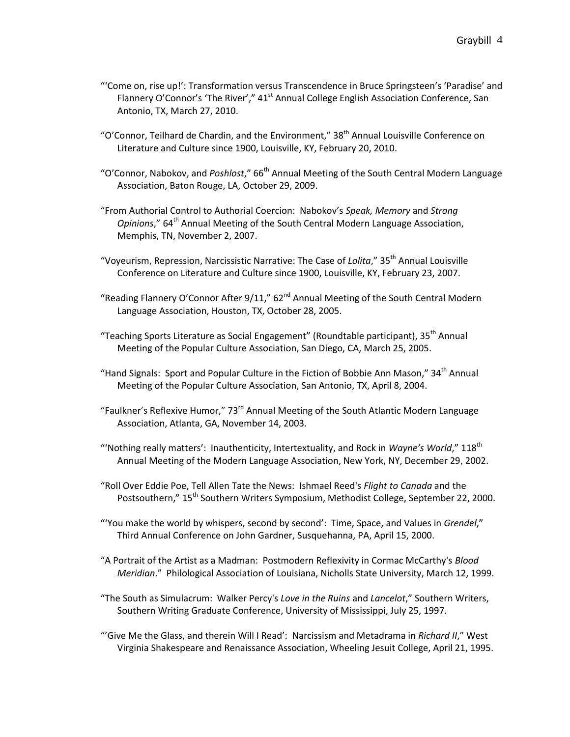- "'Come on, rise up!': Transformation versus Transcendence in Bruce Springsteen's 'Paradise' and Flannery O'Connor's 'The River'," 41<sup>st</sup> Annual College English Association Conference, San Antonio, TX, March 27, 2010.
- "O'Connor, Teilhard de Chardin, and the Environment," 38<sup>th</sup> Annual Louisville Conference on Literature and Culture since 1900, Louisville, KY, February 20, 2010.
- "O'Connor, Nabokov, and Poshlost," 66<sup>th</sup> Annual Meeting of the South Central Modern Language Association, Baton Rouge, LA, October 29, 2009.
- "From Authorial Control to Authorial Coercion: Nabokov's *Speak, Memory* and *Strong Opinions*," 64<sup>th</sup> Annual Meeting of the South Central Modern Language Association, Memphis, TN, November 2, 2007.
- "Voyeurism, Repression, Narcissistic Narrative: The Case of *Lolita*," 35th Annual Louisville Conference on Literature and Culture since 1900, Louisville, KY, February 23, 2007.
- "Reading Flannery O'Connor After  $9/11," 62<sup>nd</sup>$  Annual Meeting of the South Central Modern Language Association, Houston, TX, October 28, 2005.
- "Teaching Sports Literature as Social Engagement" (Roundtable participant), 35<sup>th</sup> Annual Meeting of the Popular Culture Association, San Diego, CA, March 25, 2005.
- "Hand Signals: Sport and Popular Culture in the Fiction of Bobbie Ann Mason," 34<sup>th</sup> Annual Meeting of the Popular Culture Association, San Antonio, TX, April 8, 2004.
- "Faulkner's Reflexive Humor," 73rd Annual Meeting of the South Atlantic Modern Language Association, Atlanta, GA, November 14, 2003.
- "'Nothing really matters': Inauthenticity, Intertextuality, and Rock in *Wayne's World*," 118<sup>th</sup> Annual Meeting of the Modern Language Association, New York, NY, December 29, 2002.
- "Roll Over Eddie Poe, Tell Allen Tate the News: Ishmael Reed's *Flight to Canada* and the Postsouthern," 15<sup>th</sup> Southern Writers Symposium, Methodist College, September 22, 2000.
- "'You make the world by whispers, second by second': Time, Space, and Values in *Grendel*," Third Annual Conference on John Gardner, Susquehanna, PA, April 15, 2000.
- "A Portrait of the Artist as a Madman: Postmodern Reflexivity in Cormac McCarthy's *Blood Meridian*." Philological Association of Louisiana, Nicholls State University, March 12, 1999.
- "The South as Simulacrum: Walker Percy's *Love in the Ruins* and *Lancelot*," Southern Writers, Southern Writing Graduate Conference, University of Mississippi, July 25, 1997.
- "'Give Me the Glass, and therein Will I Read': Narcissism and Metadrama in *Richard II*," West Virginia Shakespeare and Renaissance Association, Wheeling Jesuit College, April 21, 1995.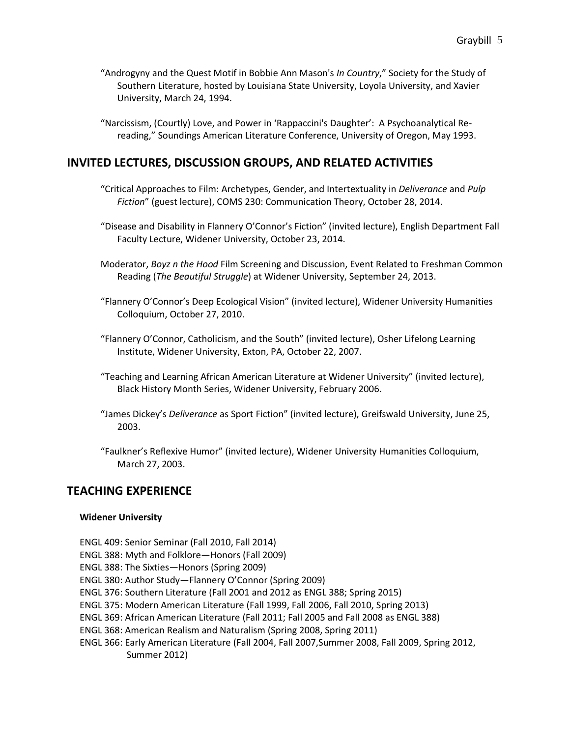- "Androgyny and the Quest Motif in Bobbie Ann Mason's *In Country*," Society for the Study of Southern Literature, hosted by Louisiana State University, Loyola University, and Xavier University, March 24, 1994.
- "Narcissism, (Courtly) Love, and Power in 'Rappaccini's Daughter': A Psychoanalytical Rereading," Soundings American Literature Conference, University of Oregon, May 1993.

# **INVITED LECTURES, DISCUSSION GROUPS, AND RELATED ACTIVITIES**

- "Critical Approaches to Film: Archetypes, Gender, and Intertextuality in *Deliverance* and *Pulp Fiction*" (guest lecture), COMS 230: Communication Theory, October 28, 2014.
- "Disease and Disability in Flannery O'Connor's Fiction" (invited lecture), English Department Fall Faculty Lecture, Widener University, October 23, 2014.
- Moderator, *Boyz n the Hood* Film Screening and Discussion, Event Related to Freshman Common Reading (*The Beautiful Struggle*) at Widener University, September 24, 2013.
- "Flannery O'Connor's Deep Ecological Vision" (invited lecture), Widener University Humanities Colloquium, October 27, 2010.
- "Flannery O'Connor, Catholicism, and the South" (invited lecture), Osher Lifelong Learning Institute, Widener University, Exton, PA, October 22, 2007.
- "Teaching and Learning African American Literature at Widener University" (invited lecture), Black History Month Series, Widener University, February 2006.
- "James Dickey's *Deliverance* as Sport Fiction" (invited lecture), Greifswald University, June 25, 2003.
- "Faulkner's Reflexive Humor" (invited lecture), Widener University Humanities Colloquium, March 27, 2003.

## **TEACHING EXPERIENCE**

#### **Widener University**

- ENGL 409: Senior Seminar (Fall 2010, Fall 2014)
- ENGL 388: Myth and Folklore—Honors (Fall 2009)
- ENGL 388: The Sixties—Honors (Spring 2009)
- ENGL 380: Author Study—Flannery O'Connor (Spring 2009)
- ENGL 376: Southern Literature (Fall 2001 and 2012 as ENGL 388; Spring 2015)
- ENGL 375: Modern American Literature (Fall 1999, Fall 2006, Fall 2010, Spring 2013)
- ENGL 369: African American Literature (Fall 2011; Fall 2005 and Fall 2008 as ENGL 388)
- ENGL 368: American Realism and Naturalism (Spring 2008, Spring 2011)
- ENGL 366: Early American Literature (Fall 2004, Fall 2007,Summer 2008, Fall 2009, Spring 2012, Summer 2012)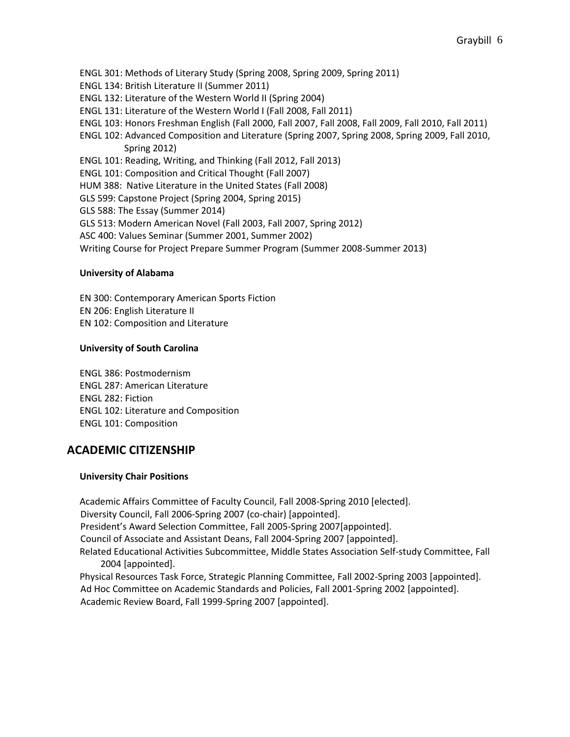- ENGL 301: Methods of Literary Study (Spring 2008, Spring 2009, Spring 2011)
- ENGL 134: British Literature II (Summer 2011)
- ENGL 132: Literature of the Western World II (Spring 2004)
- ENGL 131: Literature of the Western World I (Fall 2008, Fall 2011)
- ENGL 103: Honors Freshman English (Fall 2000, Fall 2007, Fall 2008, Fall 2009, Fall 2010, Fall 2011)
- ENGL 102: Advanced Composition and Literature (Spring 2007, Spring 2008, Spring 2009, Fall 2010, Spring 2012)
- ENGL 101: Reading, Writing, and Thinking (Fall 2012, Fall 2013)
- ENGL 101: Composition and Critical Thought (Fall 2007)
- HUM 388: Native Literature in the United States (Fall 2008)
- GLS 599: Capstone Project (Spring 2004, Spring 2015)
- GLS 588: The Essay (Summer 2014)
- GLS 513: Modern American Novel (Fall 2003, Fall 2007, Spring 2012)
- ASC 400: Values Seminar (Summer 2001, Summer 2002)
- Writing Course for Project Prepare Summer Program (Summer 2008-Summer 2013)

#### **University of Alabama**

EN 300: Contemporary American Sports Fiction EN 206: English Literature II EN 102: Composition and Literature

#### **University of South Carolina**

ENGL 386: Postmodernism ENGL 287: American Literature ENGL 282: Fiction ENGL 102: Literature and Composition ENGL 101: Composition

# **ACADEMIC CITIZENSHIP**

#### **University Chair Positions**

Academic Affairs Committee of Faculty Council, Fall 2008-Spring 2010 [elected]. Diversity Council, Fall 2006-Spring 2007 (co-chair) [appointed]. President's Award Selection Committee, Fall 2005-Spring 2007[appointed]. Council of Associate and Assistant Deans, Fall 2004-Spring 2007 [appointed]. Related Educational Activities Subcommittee, Middle States Association Self-study Committee, Fall 2004 [appointed]. Physical Resources Task Force, Strategic Planning Committee, Fall 2002-Spring 2003 [appointed]. Ad Hoc Committee on Academic Standards and Policies, Fall 2001-Spring 2002 [appointed].

Academic Review Board, Fall 1999-Spring 2007 [appointed].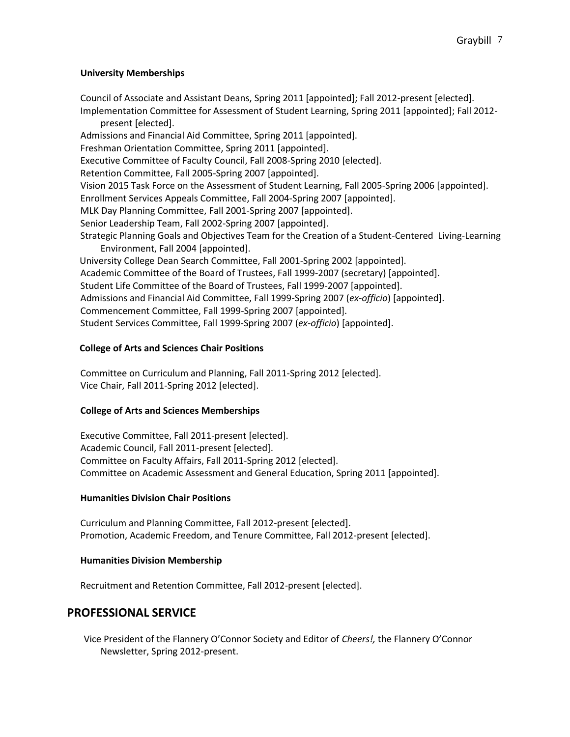### **University Memberships**

Council of Associate and Assistant Deans, Spring 2011 [appointed]; Fall 2012-present [elected]. Implementation Committee for Assessment of Student Learning, Spring 2011 [appointed]; Fall 2012 present [elected]. Admissions and Financial Aid Committee, Spring 2011 [appointed]. Freshman Orientation Committee, Spring 2011 [appointed]. Executive Committee of Faculty Council, Fall 2008-Spring 2010 [elected]. Retention Committee, Fall 2005-Spring 2007 [appointed]. Vision 2015 Task Force on the Assessment of Student Learning, Fall 2005-Spring 2006 [appointed]. Enrollment Services Appeals Committee, Fall 2004-Spring 2007 [appointed]. MLK Day Planning Committee, Fall 2001-Spring 2007 [appointed]. Senior Leadership Team, Fall 2002-Spring 2007 [appointed]. Strategic Planning Goals and Objectives Team for the Creation of a Student-Centered Living-Learning Environment, Fall 2004 [appointed]. University College Dean Search Committee, Fall 2001-Spring 2002 [appointed]. Academic Committee of the Board of Trustees, Fall 1999-2007 (secretary) [appointed]. Student Life Committee of the Board of Trustees, Fall 1999-2007 [appointed]. Admissions and Financial Aid Committee, Fall 1999-Spring 2007 (*ex-officio*) [appointed]. Commencement Committee, Fall 1999-Spring 2007 [appointed].

# Student Services Committee, Fall 1999-Spring 2007 (*ex-officio*) [appointed].

### **College of Arts and Sciences Chair Positions**

Committee on Curriculum and Planning, Fall 2011-Spring 2012 [elected]. Vice Chair, Fall 2011-Spring 2012 [elected].

### **College of Arts and Sciences Memberships**

Executive Committee, Fall 2011-present [elected]. Academic Council, Fall 2011-present [elected]. Committee on Faculty Affairs, Fall 2011-Spring 2012 [elected]. Committee on Academic Assessment and General Education, Spring 2011 [appointed].

### **Humanities Division Chair Positions**

Curriculum and Planning Committee, Fall 2012-present [elected]. Promotion, Academic Freedom, and Tenure Committee, Fall 2012-present [elected].

### **Humanities Division Membership**

Recruitment and Retention Committee, Fall 2012-present [elected].

# **PROFESSIONAL SERVICE**

Vice President of the Flannery O'Connor Society and Editor of *Cheers!,* the Flannery O'Connor Newsletter, Spring 2012-present.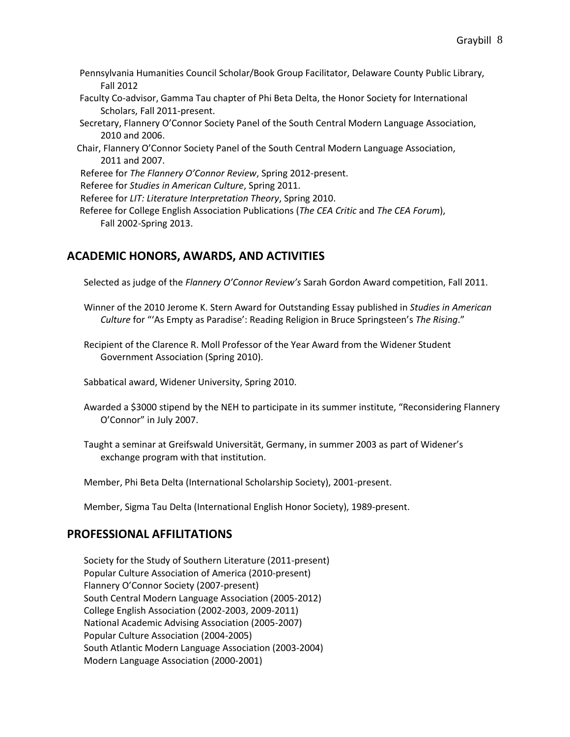- Pennsylvania Humanities Council Scholar/Book Group Facilitator, Delaware County Public Library, Fall 2012
- Faculty Co-advisor, Gamma Tau chapter of Phi Beta Delta, the Honor Society for International Scholars, Fall 2011-present.
- Secretary, Flannery O'Connor Society Panel of the South Central Modern Language Association, 2010 and 2006.
- Chair, Flannery O'Connor Society Panel of the South Central Modern Language Association, 2011 and 2007.
- Referee for *The Flannery O'Connor Review*, Spring 2012-present.
- Referee for *Studies in American Culture*, Spring 2011.
- Referee for *LIT: Literature Interpretation Theory*, Spring 2010.
- Referee for College English Association Publications (*The CEA Critic* and *The CEA Forum*), Fall 2002-Spring 2013.

# **ACADEMIC HONORS, AWARDS, AND ACTIVITIES**

Selected as judge of the *Flannery O'Connor Review's* Sarah Gordon Award competition, Fall 2011.

- Winner of the 2010 Jerome K. Stern Award for Outstanding Essay published in *Studies in American Culture* for "'As Empty as Paradise': Reading Religion in Bruce Springsteen's *The Rising*."
- Recipient of the Clarence R. Moll Professor of the Year Award from the Widener Student Government Association (Spring 2010).
- Sabbatical award, Widener University, Spring 2010.
- Awarded a \$3000 stipend by the NEH to participate in its summer institute, "Reconsidering Flannery O'Connor" in July 2007.
- Taught a seminar at Greifswald Universität, Germany, in summer 2003 as part of Widener's exchange program with that institution.
- Member, Phi Beta Delta (International Scholarship Society), 2001-present.
- Member, Sigma Tau Delta (International English Honor Society), 1989-present.

# **PROFESSIONAL AFFILITATIONS**

Society for the Study of Southern Literature (2011-present) Popular Culture Association of America (2010-present) Flannery O'Connor Society (2007-present) South Central Modern Language Association (2005-2012) College English Association (2002-2003, 2009-2011) National Academic Advising Association (2005-2007) Popular Culture Association (2004-2005) South Atlantic Modern Language Association (2003-2004) Modern Language Association (2000-2001)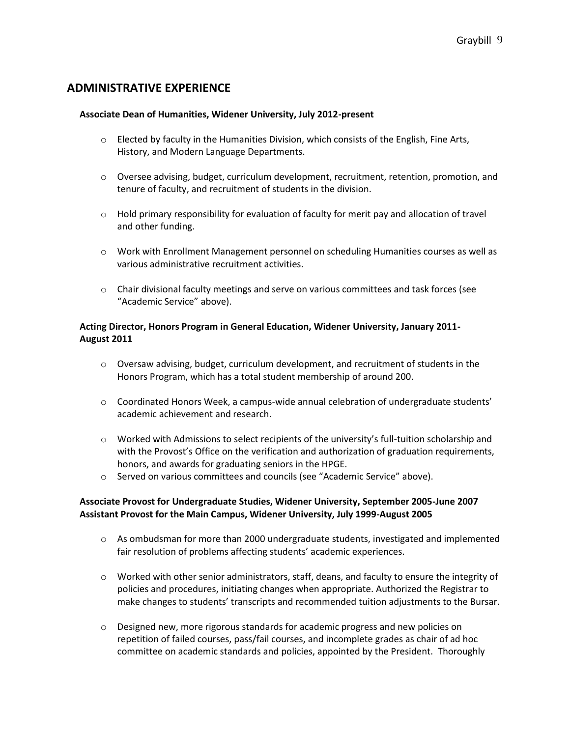# **ADMINISTRATIVE EXPERIENCE**

#### **Associate Dean of Humanities, Widener University, July 2012-present**

- $\circ$  Elected by faculty in the Humanities Division, which consists of the English, Fine Arts, History, and Modern Language Departments.
- o Oversee advising, budget, curriculum development, recruitment, retention, promotion, and tenure of faculty, and recruitment of students in the division.
- $\circ$  Hold primary responsibility for evaluation of faculty for merit pay and allocation of travel and other funding.
- o Work with Enrollment Management personnel on scheduling Humanities courses as well as various administrative recruitment activities.
- $\circ$  Chair divisional faculty meetings and serve on various committees and task forces (see "Academic Service" above).

### **Acting Director, Honors Program in General Education, Widener University, January 2011- August 2011**

- $\circ$  Oversaw advising, budget, curriculum development, and recruitment of students in the Honors Program, which has a total student membership of around 200.
- $\circ$  Coordinated Honors Week, a campus-wide annual celebration of undergraduate students' academic achievement and research.
- $\circ$  Worked with Admissions to select recipients of the university's full-tuition scholarship and with the Provost's Office on the verification and authorization of graduation requirements, honors, and awards for graduating seniors in the HPGE.
- o Served on various committees and councils (see "Academic Service" above).

### **Associate Provost for Undergraduate Studies, Widener University, September 2005-June 2007 Assistant Provost for the Main Campus, Widener University, July 1999-August 2005**

- o As ombudsman for more than 2000 undergraduate students, investigated and implemented fair resolution of problems affecting students' academic experiences.
- $\circ$  Worked with other senior administrators, staff, deans, and faculty to ensure the integrity of policies and procedures, initiating changes when appropriate. Authorized the Registrar to make changes to students' transcripts and recommended tuition adjustments to the Bursar.
- o Designed new, more rigorous standards for academic progress and new policies on repetition of failed courses, pass/fail courses, and incomplete grades as chair of ad hoc committee on academic standards and policies, appointed by the President. Thoroughly